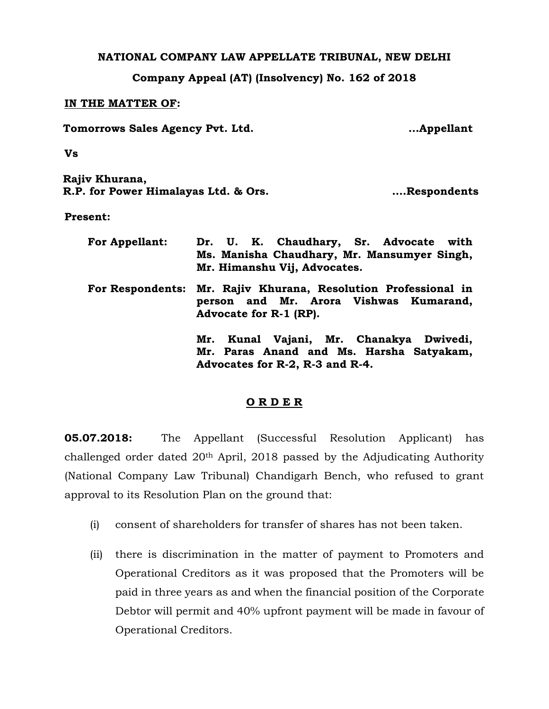## **NATIONAL COMPANY LAW APPELLATE TRIBUNAL, NEW DELHI**

**Company Appeal (AT) (Insolvency) No. 162 of 2018**

## **IN THE MATTER OF:**

**Tomorrows Sales Agency Pvt. Ltd. …Appellant**

**Vs**

**Rajiv Khurana, R.P. for Power Himalayas Ltd. & Ors. ….Respondents**

**Present:**

| <b>For Appellant:</b> | Dr. U. K. Chaudhary, Sr. Advocate with<br>Ms. Manisha Chaudhary, Mr. Mansumyer Singh,                                                    |
|-----------------------|------------------------------------------------------------------------------------------------------------------------------------------|
|                       | Mr. Himanshu Vij, Advocates.<br>For Respondents: Mr. Rajiv Khurana, Resolution Professional in<br>person and Mr. Arora Vishwas Kumarand, |
|                       | Advocate for R-1 (RP).<br>Mr. Kunal Vajani, Mr. Chanakya Dwivedi,<br>Mr. Paras Anand and Ms. Harsha Satyakam,                            |
|                       | Advocates for R-2, R-3 and R-4.                                                                                                          |

## **O R D E R**

**05.07.2018:** The Appellant (Successful Resolution Applicant) has challenged order dated 20th April, 2018 passed by the Adjudicating Authority (National Company Law Tribunal) Chandigarh Bench, who refused to grant approval to its Resolution Plan on the ground that:

- (i) consent of shareholders for transfer of shares has not been taken.
- (ii) there is discrimination in the matter of payment to Promoters and Operational Creditors as it was proposed that the Promoters will be paid in three years as and when the financial position of the Corporate Debtor will permit and 40% upfront payment will be made in favour of Operational Creditors.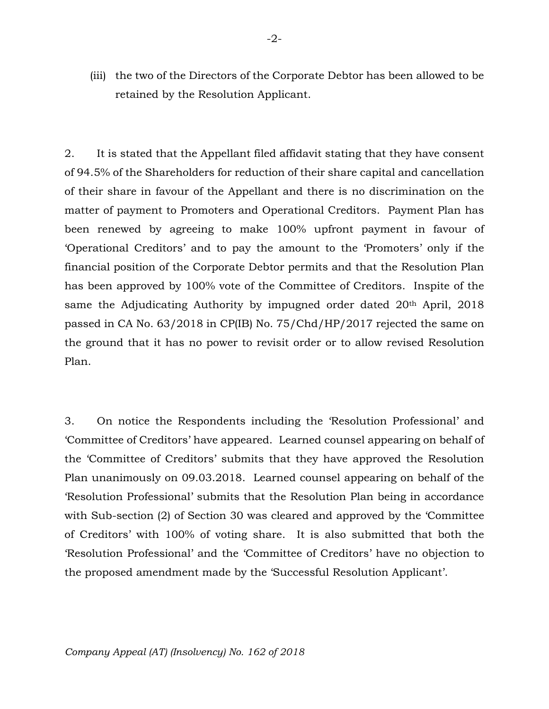(iii) the two of the Directors of the Corporate Debtor has been allowed to be retained by the Resolution Applicant.

2. It is stated that the Appellant filed affidavit stating that they have consent of 94.5% of the Shareholders for reduction of their share capital and cancellation of their share in favour of the Appellant and there is no discrimination on the matter of payment to Promoters and Operational Creditors. Payment Plan has been renewed by agreeing to make 100% upfront payment in favour of 'Operational Creditors' and to pay the amount to the 'Promoters' only if the financial position of the Corporate Debtor permits and that the Resolution Plan has been approved by 100% vote of the Committee of Creditors. Inspite of the same the Adjudicating Authority by impugned order dated 20<sup>th</sup> April, 2018 passed in CA No. 63/2018 in CP(IB) No. 75/Chd/HP/2017 rejected the same on the ground that it has no power to revisit order or to allow revised Resolution Plan.

3. On notice the Respondents including the 'Resolution Professional' and 'Committee of Creditors' have appeared. Learned counsel appearing on behalf of the 'Committee of Creditors' submits that they have approved the Resolution Plan unanimously on 09.03.2018. Learned counsel appearing on behalf of the 'Resolution Professional' submits that the Resolution Plan being in accordance with Sub-section (2) of Section 30 was cleared and approved by the 'Committee of Creditors' with 100% of voting share. It is also submitted that both the 'Resolution Professional' and the 'Committee of Creditors' have no objection to the proposed amendment made by the 'Successful Resolution Applicant'.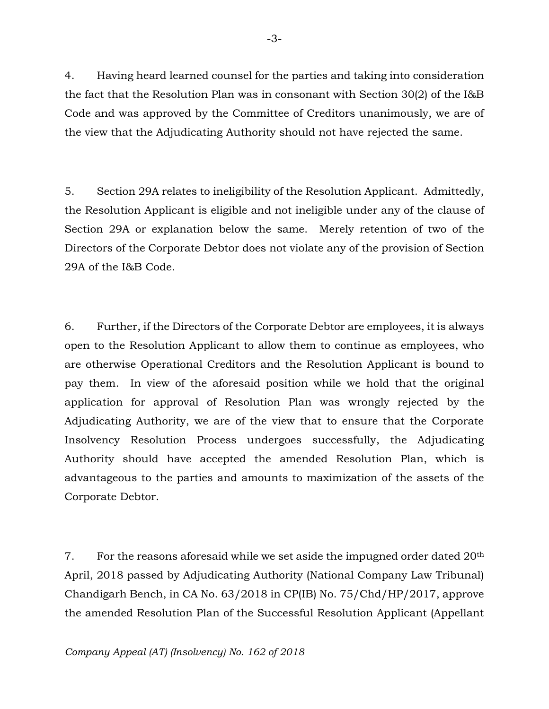4. Having heard learned counsel for the parties and taking into consideration the fact that the Resolution Plan was in consonant with Section 30(2) of the I&B Code and was approved by the Committee of Creditors unanimously, we are of the view that the Adjudicating Authority should not have rejected the same.

5. Section 29A relates to ineligibility of the Resolution Applicant. Admittedly, the Resolution Applicant is eligible and not ineligible under any of the clause of Section 29A or explanation below the same. Merely retention of two of the Directors of the Corporate Debtor does not violate any of the provision of Section 29A of the I&B Code.

6. Further, if the Directors of the Corporate Debtor are employees, it is always open to the Resolution Applicant to allow them to continue as employees, who are otherwise Operational Creditors and the Resolution Applicant is bound to pay them. In view of the aforesaid position while we hold that the original application for approval of Resolution Plan was wrongly rejected by the Adjudicating Authority, we are of the view that to ensure that the Corporate Insolvency Resolution Process undergoes successfully, the Adjudicating Authority should have accepted the amended Resolution Plan, which is advantageous to the parties and amounts to maximization of the assets of the Corporate Debtor.

7. For the reasons aforesaid while we set aside the impugned order dated 20<sup>th</sup> April, 2018 passed by Adjudicating Authority (National Company Law Tribunal) Chandigarh Bench, in CA No. 63/2018 in CP(IB) No. 75/Chd/HP/2017, approve the amended Resolution Plan of the Successful Resolution Applicant (Appellant